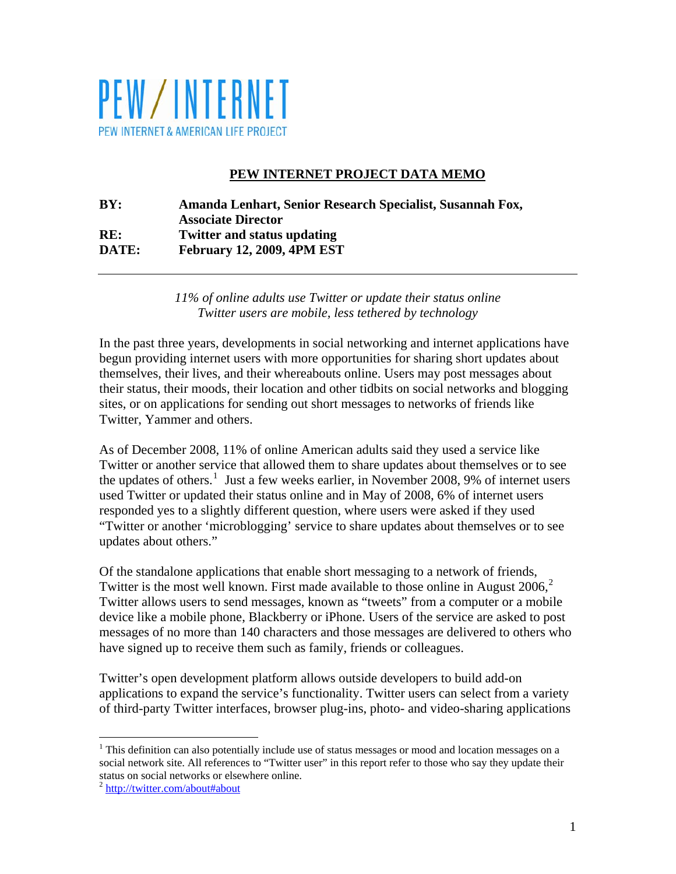

# **PEW INTERNET PROJECT DATA MEMO**

# **BY: Amanda Lenhart, Senior Research Specialist, Susannah Fox, Associate Director RE: Twitter and status updating DATE: February 12, 2009, 4PM EST**

*11% of online adults use Twitter or update their status online Twitter users are mobile, less tethered by technology* 

In the past three years, developments in social networking and internet applications have begun providing internet users with more opportunities for sharing short updates about themselves, their lives, and their whereabouts online. Users may post messages about their status, their moods, their location and other tidbits on social networks and blogging sites, or on applications for sending out short messages to networks of friends like Twitter, Yammer and others.

As of December 2008, 11% of online American adults said they used a service like Twitter or another service that allowed them to share updates about themselves or to see the updates of others.<sup>[1](#page-0-0)</sup> Just a few weeks earlier, in November 2008, 9% of internet users used Twitter or updated their status online and in May of 2008, 6% of internet users responded yes to a slightly different question, where users were asked if they used "Twitter or another 'microblogging' service to share updates about themselves or to see updates about others."

Of the standalone applications that enable short messaging to a network of friends, Twitter is the most well known. First made available to those online in August  $2006$  $2006$ <sup>2</sup>, Twitter allows users to send messages, known as "tweets" from a computer or a mobile device like a mobile phone, Blackberry or iPhone. Users of the service are asked to post messages of no more than 140 characters and those messages are delivered to others who have signed up to receive them such as family, friends or colleagues.

Twitter's open development platform allows outside developers to build add-on applications to expand the service's functionality. Twitter users can select from a variety of third-party Twitter interfaces, browser plug-ins, photo- and video-sharing applications

 $\overline{a}$ 

<span id="page-0-0"></span> $1$  This definition can also potentially include use of status messages or mood and location messages on a social network site. All references to "Twitter user" in this report refer to those who say they update their status on social networks or elsewhere online.

<span id="page-0-1"></span><sup>&</sup>lt;sup>2</sup> http://twitter.com/about#about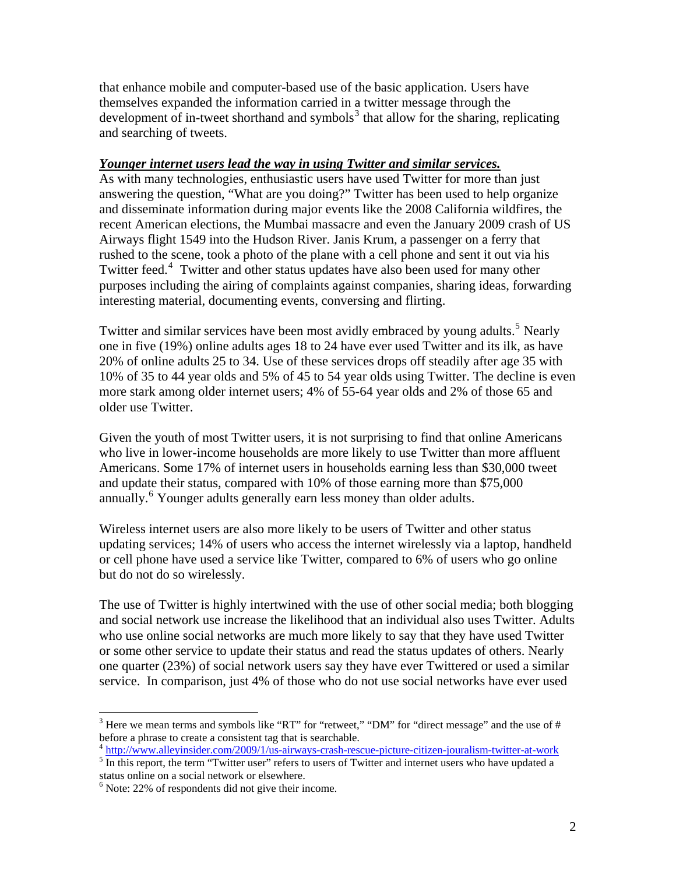that enhance mobile and computer-based use of the basic application. Users have themselves expanded the information carried in a twitter message through the development of in-tweet shorthand and symbols<sup>[3](#page-1-0)</sup> that allow for the sharing, replicating and searching of tweets.

### *Younger internet users lead the way in using Twitter and similar services.*

As with many technologies, enthusiastic users have used Twitter for more than just answering the question, "What are you doing?" Twitter has been used to help organize and disseminate information during major events like the 2008 California wildfires, the recent American elections, the Mumbai massacre and even the January 2009 crash of US Airways flight 1549 into the Hudson River. Janis Krum, a passenger on a ferry that rushed to the scene, took a photo of the plane with a cell phone and sent it out via his Twitter feed.<sup>[4](#page-1-1)</sup> Twitter and other status updates have also been used for many other purposes including the airing of complaints against companies, sharing ideas, forwarding interesting material, documenting events, conversing and flirting.

Twitter and similar services have been most avidly embraced by young adults.<sup>[5](#page-1-2)</sup> Nearly one in five (19%) online adults ages 18 to 24 have ever used Twitter and its ilk, as have 20% of online adults 25 to 34. Use of these services drops off steadily after age 35 with 10% of 35 to 44 year olds and 5% of 45 to 54 year olds using Twitter. The decline is even more stark among older internet users; 4% of 55-64 year olds and 2% of those 65 and older use Twitter.

Given the youth of most Twitter users, it is not surprising to find that online Americans who live in lower-income households are more likely to use Twitter than more affluent Americans. Some 17% of internet users in households earning less than \$30,000 tweet and update their status, compared with 10% of those earning more than \$75,000 annually.<sup>[6](#page-1-3)</sup> Younger adults generally earn less money than older adults.

Wireless internet users are also more likely to be users of Twitter and other status updating services; 14% of users who access the internet wirelessly via a laptop, handheld or cell phone have used a service like Twitter, compared to 6% of users who go online but do not do so wirelessly.

The use of Twitter is highly intertwined with the use of other social media; both blogging and social network use increase the likelihood that an individual also uses Twitter. Adults who use online social networks are much more likely to say that they have used Twitter or some other service to update their status and read the status updates of others. Nearly one quarter (23%) of social network users say they have ever Twittered or used a similar service. In comparison, just 4% of those who do not use social networks have ever used

 $\overline{a}$ 

<span id="page-1-0"></span> $3$  Here we mean terms and symbols like "RT" for "retweet," "DM" for "direct message" and the use of # before a phrase to create a consistent tag that is searchable.

<sup>4</sup> <http://www.alleyinsider.com/2009/1/us-airways-crash-rescue-picture-citizen-jouralism-twitter-at-work> 5

<span id="page-1-2"></span><span id="page-1-1"></span> $5 \frac{\text{Im}(\mathbf{p}, n, \mathbf{w}, \mathbf{w}, \mathbf{u}, \mathbf{u}, \mathbf{v})}{\text{Im this report, the term "Twitter user" refers to users of Twitter and internet users who have updated a constant.}$ status online on a social network or elsewhere.

<span id="page-1-3"></span> $6$  Note: 22% of respondents did not give their income.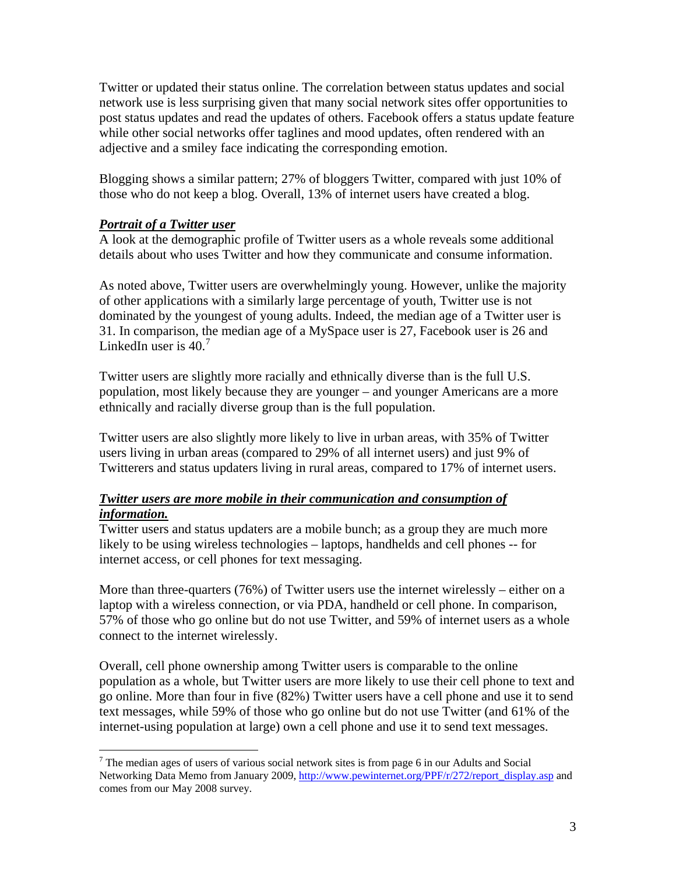Twitter or updated their status online. The correlation between status updates and social network use is less surprising given that many social network sites offer opportunities to post status updates and read the updates of others. Facebook offers a status update feature while other social networks offer taglines and mood updates, often rendered with an adjective and a smiley face indicating the corresponding emotion.

Blogging shows a similar pattern; 27% of bloggers Twitter, compared with just 10% of those who do not keep a blog. Overall, 13% of internet users have created a blog.

## *Portrait of a Twitter user*

A look at the demographic profile of Twitter users as a whole reveals some additional details about who uses Twitter and how they communicate and consume information.

As noted above, Twitter users are overwhelmingly young. However, unlike the majority of other applications with a similarly large percentage of youth, Twitter use is not dominated by the youngest of young adults. Indeed, the median age of a Twitter user is 31. In comparison, the median age of a MySpace user is 27, Facebook user is 26 and LinkedIn user is  $40<sup>7</sup>$  $40<sup>7</sup>$  $40<sup>7</sup>$ 

Twitter users are slightly more racially and ethnically diverse than is the full U.S. population, most likely because they are younger – and younger Americans are a more ethnically and racially diverse group than is the full population.

Twitter users are also slightly more likely to live in urban areas, with 35% of Twitter users living in urban areas (compared to 29% of all internet users) and just 9% of Twitterers and status updaters living in rural areas, compared to 17% of internet users.

## *Twitter users are more mobile in their communication and consumption of information.*

Twitter users and status updaters are a mobile bunch; as a group they are much more likely to be using wireless technologies – laptops, handhelds and cell phones -- for internet access, or cell phones for text messaging.

More than three-quarters (76%) of Twitter users use the internet wirelessly – either on a laptop with a wireless connection, or via PDA, handheld or cell phone. In comparison, 57% of those who go online but do not use Twitter, and 59% of internet users as a whole connect to the internet wirelessly.

Overall, cell phone ownership among Twitter users is comparable to the online population as a whole, but Twitter users are more likely to use their cell phone to text and go online. More than four in five (82%) Twitter users have a cell phone and use it to send text messages, while 59% of those who go online but do not use Twitter (and 61% of the internet-using population at large) own a cell phone and use it to send text messages.

<span id="page-2-0"></span> $\overline{a}$  $7$  The median ages of users of various social network sites is from page 6 in our Adults and Social Networking Data Memo from January 2009, [http://www.pewinternet.org/PPF/r/272/report\\_display.asp](http://www.pewinternet.org/PPF/r/272/report_display.asp) and comes from our May 2008 survey.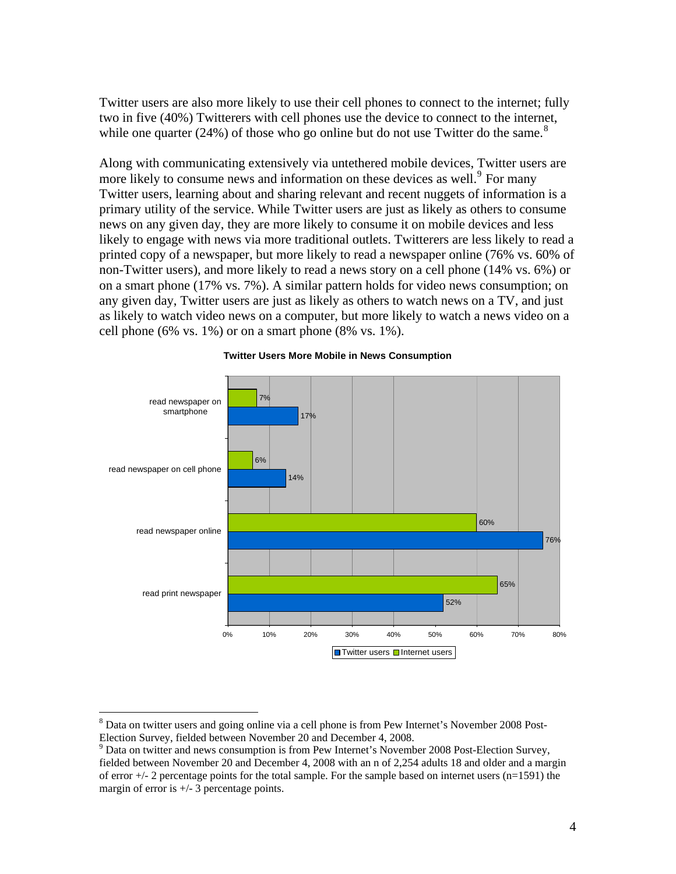Twitter users are also more likely to use their cell phones to connect to the internet; fully two in five (40%) Twitterers with cell phones use the device to connect to the internet, while one quarter (24%) of those who go online but do not use Twitter do the same.<sup>[8](#page-3-0)</sup>

Along with communicating extensively via untethered mobile devices, Twitter users are more likely to consume news and information on these devices as well.<sup>[9](#page-3-1)</sup> For many Twitter users, learning about and sharing relevant and recent nuggets of information is a primary utility of the service. While Twitter users are just as likely as others to consume news on any given day, they are more likely to consume it on mobile devices and less likely to engage with news via more traditional outlets. Twitterers are less likely to read a printed copy of a newspaper, but more likely to read a newspaper online (76% vs. 60% of non-Twitter users), and more likely to read a news story on a cell phone (14% vs. 6%) or on a smart phone (17% vs. 7%). A similar pattern holds for video news consumption; on any given day, Twitter users are just as likely as others to watch news on a TV, and just as likely to watch video news on a computer, but more likely to watch a news video on a cell phone (6% vs.  $1\%$ ) or on a smart phone (8% vs.  $1\%$ ).



#### **Twitter Users More Mobile in News Consumption**

1

<span id="page-3-0"></span><sup>&</sup>lt;sup>8</sup> Data on twitter users and going online via a cell phone is from Pew Internet's November 2008 Post-Election Survey, fielded between November 20 and December 4, 2008.

<span id="page-3-1"></span> $9$  Data on twitter and news consumption is from Pew Internet's November 2008 Post-Election Survey, fielded between November 20 and December 4, 2008 with an n of 2,254 adults 18 and older and a margin of error  $+/-$  2 percentage points for the total sample. For the sample based on internet users (n=1591) the margin of error is  $+/- 3$  percentage points.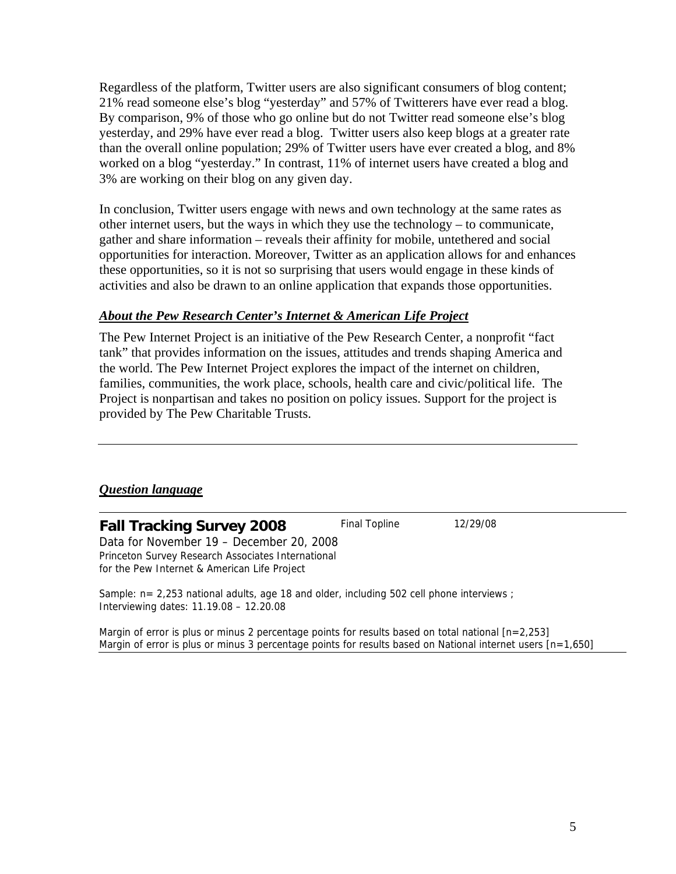Regardless of the platform, Twitter users are also significant consumers of blog content; 21% read someone else's blog "yesterday" and 57% of Twitterers have ever read a blog. By comparison, 9% of those who go online but do not Twitter read someone else's blog yesterday, and 29% have ever read a blog. Twitter users also keep blogs at a greater rate than the overall online population; 29% of Twitter users have ever created a blog, and 8% worked on a blog "yesterday." In contrast, 11% of internet users have created a blog and 3% are working on their blog on any given day.

In conclusion, Twitter users engage with news and own technology at the same rates as other internet users, but the ways in which they use the technology – to communicate, gather and share information – reveals their affinity for mobile, untethered and social opportunities for interaction. Moreover, Twitter as an application allows for and enhances these opportunities, so it is not so surprising that users would engage in these kinds of activities and also be drawn to an online application that expands those opportunities.

### *About the Pew Research Center's Internet & American Life Project*

The Pew Internet Project is an initiative of the Pew Research Center, a nonprofit "fact tank" that provides information on the issues, attitudes and trends shaping America and the world. The Pew Internet Project explores the impact of the internet on children, families, communities, the work place, schools, health care and civic/political life. The Project is nonpartisan and takes no position on policy issues. Support for the project is provided by The Pew Charitable Trusts.

## *Question language*

**Fall Tracking Survey 2008** Final Topline 12/29/08 Data for November 19 – December 20, 2008 Princeton Survey Research Associates International for the Pew Internet & American Life Project

Sample: n= 2,253 national adults, age 18 and older, including 502 cell phone interviews ; Interviewing dates: 11.19.08 – 12.20.08

Margin of error is plus or minus 2 percentage points for results based on total national [n=2,253] Margin of error is plus or minus 3 percentage points for results based on National internet users [n=1,650]